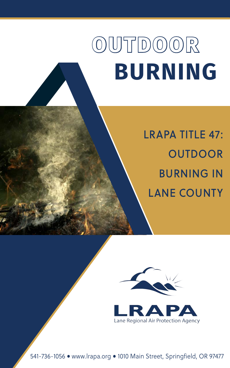## **OUTDOOR BURNING**

LRAPA TITLE 47: **OUTDOOR** BURNING IN LANE COUNTY



Lane Regional Air Protection Agency

541-736-1056 **○** www.lrapa.org **○** 1010 Main Street, Springfield, OR 97477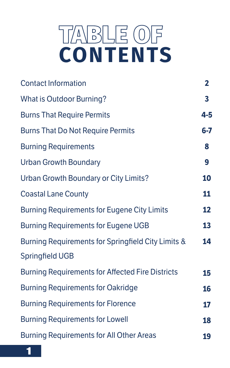# **CONTENTS**

| $\overline{\mathbf{3}}$<br>$4 - 5$<br>$6 - 7$<br>8<br>9 |
|---------------------------------------------------------|
|                                                         |
|                                                         |
|                                                         |
|                                                         |
|                                                         |
| 10                                                      |
| 11                                                      |
| $12 \overline{ }$                                       |
| 13                                                      |
| 14                                                      |
|                                                         |
| 15                                                      |
| 16                                                      |
| 17                                                      |
| 18                                                      |
| 19                                                      |
|                                                         |

1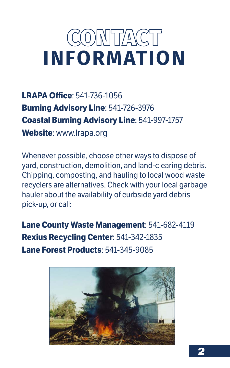### CONTACT **INFORMATION**

**LRAPA Office**: 541-736-1056 **Burning Advisory Line**: 541-726-3976 **Coastal Burning Advisory Line**: 541-997-1757 **Website**: www.lrapa.org

Whenever possible, choose other ways to dispose of yard, construction, demolition, and land-clearing debris. Chipping, composting, and hauling to local wood waste recyclers are alternatives. Check with your local garbage hauler about the availability of curbside yard debris pick-up, or call:

**Lane County Waste Management**: 541-682-4119 **Rexius Recycling Center**: 541-342-1835 **Lane Forest Products**: 541-345-9085

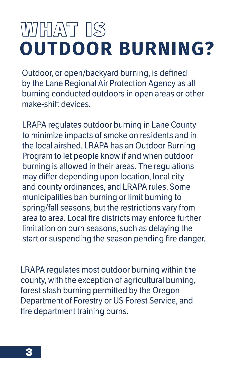### WHAT IS **OUTDOOR BURNING?**

Outdoor, or open/backyard burning, is defined by the Lane Regional Air Protection Agency as all burning conducted outdoors in open areas or other make-shift devices.

LRAPA regulates outdoor burning in Lane County to minimize impacts of smoke on residents and in the local airshed. LRAPA has an Outdoor Burning Program to let people know if and when outdoor burning is allowed in their areas. The regulations may differ depending upon location, local city and county ordinances, and LRAPA rules. Some municipalities ban burning or limit burning to spring/fall seasons, but the restrictions vary from area to area. Local fire districts may enforce further limitation on burn seasons, such as delaying the start or suspending the season pending fire danger.

LRAPA regulates most outdoor burning within the county, with the exception of agricultural burning, forest slash burning permitted by the Oregon Department of Forestry or US Forest Service, and fire department training burns.

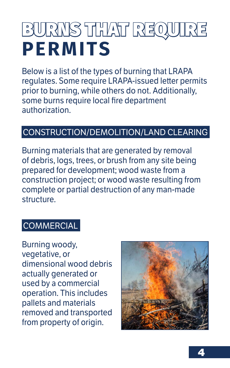### BURNS THAT REQUIRE **PERMITS**

Below is a list of the types of burning that LRAPA regulates. Some require LRAPA-issued letter permits prior to burning, while others do not. Additionally, some burns require local fire department authorization.

#### CONSTRUCTION/DEMOLITION/LAND CLEARING

Burning materials that are generated by removal of debris, logs, trees, or brush from any site being prepared for development; wood waste from a construction project; or wood waste resulting from complete or partial destruction of any man-made structure.

#### **COMMERCIAL**

Burning woody, vegetative, or dimensional wood debris actually generated or used by a commercial operation. This includes pallets and materials removed and transported from property of origin.

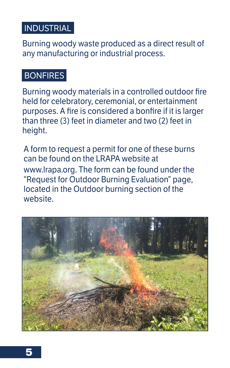#### INDUSTRIAL

Burning woody waste produced as a direct result of any manufacturing or industrial process.

#### BONFIRES

Burning woody materials in a controlled outdoor fire held for celebratory, ceremonial, or entertainment purposes. A fire is considered a bonfire if it is larger than three (3) feet in diameter and two (2) feet in height.

A form to request a permit for one of these burns can be found on the LRAPA website at www.lrapa.org. The form can be found under the "Request for Outdoor Burning Evaluation" page, located in the Outdoor burning section of the website.



5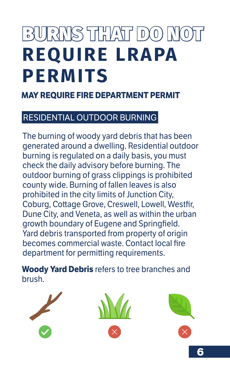### BURNS THAT DO NOT **REQUIRE LRAPA PERMITS**

#### **MAY REQUIRE FIRE DEPARTMENT PERMIT**

#### RESIDENTIAL OUTDOOR BURNING

The burning of woody yard debris that has been generated around a dwelling. Residential outdoor burning is regulated on a daily basis, you must check the daily advisory before burning. The outdoor burning of grass clippings is prohibited county wide. Burning of fallen leaves is also prohibited in the city limits of Junction City, Coburg, Cottage Grove, Creswell, Lowell, Westfir, Dune City, and Veneta, as well as within the urban growth boundary of Eugene and Springfield. Yard debris transported from property of origin becomes commercial waste. Contact local fire department for permitting requirements.

**Woody Yard Debris** refers to tree branches and brush.





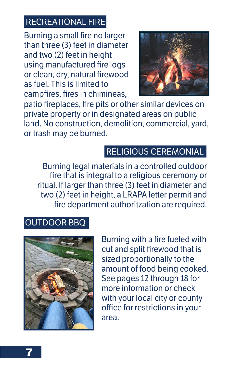#### RECREATIONAL FIRE

Burning a small fire no larger than three (3) feet in diameter and two (2) feet in height using manufactured fire logs or clean, dry, natural firewood as fuel. This is limited to campfires, fires in chimineas,



patio fireplaces, fire pits or other similar devices on private property or in designated areas on public land. No construction, demolition, commercial, yard, or trash may be burned.

#### RELIGIOUS CEREMONIAL

Burning legal materials in a controlled outdoor fire that is integral to a religious ceremony or ritual. If larger than three (3) feet in diameter and two (2) feet in height, a LRAPA letter permit and fire department authoritzation are required.

#### OUTDOOR BBQ



Burning with a fire fueled with cut and split firewood that is sized proportionally to the amount of food being cooked. See pages 12 through 18 for more information or check with your local city or county office for restrictions in your area.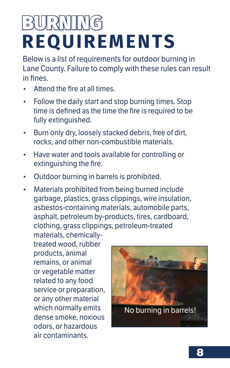### BRUIRANIINKE **REQUIREMENTS**

Below is a list of requirements for outdoor burning in Lane County. Failure to comply with these rules can result in fines.

- Attend the fire at all times.
- Follow the daily start and stop burning times. Stop time is defined as the time the fire is required to be fully extinguished.
- Burn only dry, loosely stacked debris, free of dirt, rocks, and other non-combustible materials.
- Have water and tools available for controlling or extinguishing the fire.
- Outdoor burning in barrels is prohibited.
- Materials prohibited from being burned include garbage, plastics, grass clippings, wire insulation, asbestos-containing materials, automobile parts, asphalt, petroleum by-products, tires, cardboard, clothing, grass clippings, petroleum-treated

materials, chemicallytreated wood, rubber products, animal remains, or animal or vegetable matter related to any food service or preparation, or any other material which normally emits dense smoke, noxious odors, or hazardous air contaminants.

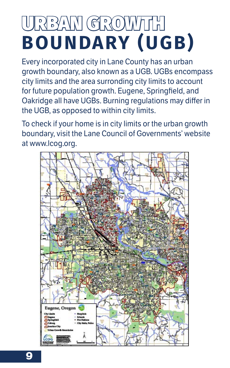### URBAN GROWTH **BOUNDARY (UGB)**

Every incorporated city in Lane County has an urban growth boundary, also known as a UGB. UGBs encompass city limits and the area surronding city limits to account for future population growth. Eugene, Springfield, and Oakridge all have UGBs. Burning regulations may differ in the UGB, as opposed to within city limits.

To check if your home is in city limits or the urban growth boundary, visit the Lane Council of Governments' website at www.lcog.org.

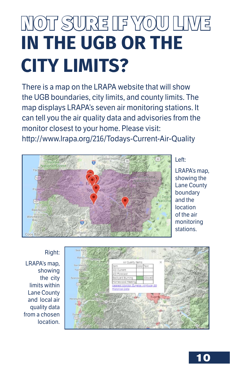### NOT SURE IF YOU LIV **IN THE UGB OR THE CITY LIMITS?**

There is a map on the LRAPA website that will show the UGB boundaries, city limits, and county limits. The map displays LRAPA's seven air monitoring stations. It can tell you the air quality data and advisories from the monitor closest to your home. Please visit: http://www.lrapa.org/216/Todays-Current-Air-Quality



Left:

LRAPA's map, showing the Lane County boundary and the location of the air monitoring stations.



LRAPA's map, showing the city limits within Lane County and local air quality data from a chosen location.

Right: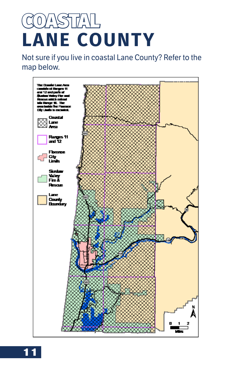### COASTAL **LANE COUNTY**

Not sure if you live in coastal Lane County? Refer to the map below.



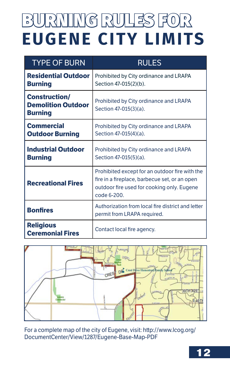### BURNING RULES FOR **EUGENE CITY LIMITS**

| <b>TYPE OF BURN</b>                                                 | <b>RULES</b>                                                                                                                                                 |
|---------------------------------------------------------------------|--------------------------------------------------------------------------------------------------------------------------------------------------------------|
| <b>Residential Outdoor</b><br><b>Burning</b>                        | Prohibited by City ordinance and LRAPA<br>Section 47-015(2)(b).                                                                                              |
| <b>Construction/</b><br><b>Demolition Outdoor</b><br><b>Burning</b> | Prohibited by City ordinance and LRAPA<br>Section 47-015(3)(a).                                                                                              |
| <b>Commercial</b><br><b>Outdoor Burning</b>                         | Prohibited by City ordinance and LRAPA<br>Section 47-015(4)(a).                                                                                              |
| <b>Industrial Outdoor</b><br><b>Burning</b>                         | Prohibited by City ordinance and LRAPA<br>Section 47-015(5)(a).                                                                                              |
| <b>Recreational Fires</b>                                           | Prohibited except for an outdoor fire with the<br>fire in a fireplace, barbecue set, or an open<br>outdoor fire used for cooking only. Eugene<br>code 6-200. |
| <b>Bonfires</b>                                                     | Authorization from local fire district and letter<br>permit from LRAPA required.                                                                             |
| <b>Religious</b><br><b>Ceremonial Fires</b>                         | Contact local fire agency.                                                                                                                                   |



For a complete map of the city of Eugene, visit: http://www.lcog.org/ DocumentCenter/View/1287/Eugene-Base-Map-PDF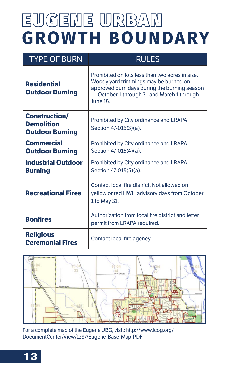### EUGENE URBAN **GROWTH BOUNDARY**

| <b>TYPE OF BURN</b>                                                 | <b>RULES</b>                                                                                                                                                                                      |
|---------------------------------------------------------------------|---------------------------------------------------------------------------------------------------------------------------------------------------------------------------------------------------|
| <b>Residential</b><br><b>Outdoor Burning</b>                        | Prohibited on lots less than two acres in size.<br>Woody yard trimmings may be burned on<br>approved burn days during the burning season<br>-October 1 through 31 and March 1 through<br>June 15. |
| <b>Construction/</b><br><b>Demolition</b><br><b>Outdoor Burning</b> | Prohibited by City ordinance and LRAPA<br>Section 47-015(3)(a).                                                                                                                                   |
| <b>Commercial</b><br><b>Outdoor Burning</b>                         | Prohibited by City ordinance and LRAPA<br>Section 47-015(4)(a).                                                                                                                                   |
| <b>Industrial Outdoor</b><br><b>Burning</b>                         | Prohibited by City ordinance and LRAPA<br>Section 47-015(5)(a).                                                                                                                                   |
| <b>Recreational Fires</b>                                           | Contact local fire district. Not allowed on<br>yellow or red HWH advisory days from October<br>1 to May 31.                                                                                       |
| <b>Bonfires</b>                                                     | Authorization from local fire district and letter<br>permit from LRAPA required.                                                                                                                  |
| <b>Religious</b><br><b>Ceremonial Fires</b>                         | Contact local fire agency.                                                                                                                                                                        |



For a complete map of the Eugene UBG, visit: http://www.lcog.org/ DocumentCenter/View/1287/Eugene-Base-Map-PDF

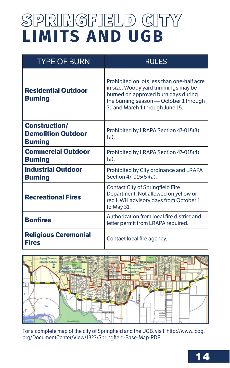#### SPRINGFIELD CITY **LIMITS AND UGB**

| <b>TYPE OF BURN</b>                                                 | <b>RULES</b>                                                                                                                                                                                           |
|---------------------------------------------------------------------|--------------------------------------------------------------------------------------------------------------------------------------------------------------------------------------------------------|
| <b>Residential Outdoor</b><br><b>Burning</b>                        | Prohibited on lots less than one-half acre<br>in size. Woody yard trimmings may be<br>burned on approved burn days during<br>the burning season - October 1 through<br>31 and March 1 through June 15. |
| <b>Construction/</b><br><b>Demolition Outdoor</b><br><b>Burning</b> | Prohibited by LRAPA Section 47-015(3)<br>$(a)$ .                                                                                                                                                       |
| <b>Commercial Outdoor</b><br><b>Burning</b>                         | Prohibited by LRAPA Section 47-015(4)<br>$(a)$ .                                                                                                                                                       |
| <b>Industrial Outdoor</b><br><b>Burning</b>                         | Prohibited by City ordinance and LRAPA<br>Section 47-015(5)(a).                                                                                                                                        |
| <b>Recreational Fires</b>                                           | <b>Contact City of Springfield Fire</b><br>Department. Not allowed on yellow or<br>red HWH advisory days from October 1<br>to May 31.                                                                  |
| <b>Bonfires</b>                                                     | Authorization from local fire district and<br>letter permit from LRAPA required.                                                                                                                       |
| <b>Religious Ceremonial</b><br><b>Fires</b>                         | Contact local fire agency.                                                                                                                                                                             |



For a complete map of the city of Springfield and the UGB, visit: http://www.lcog. org/DocumentCenter/View/1323/Springfield-Base-Map-PDF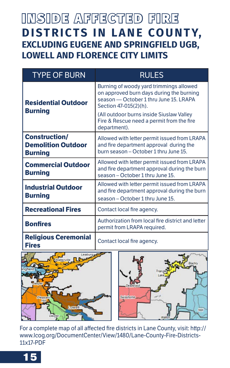#### INSIDE AFFECTED FIRE **DISTRICTS IN LANE COUNTY, EXCLUDING EUGENE AND SPRINGFIELD UGB, LOWELL AND FLORENCE CITY LIMITS**

| <b>TYPE OF BURN</b>                                                 | <b>RULES</b>                                                                                                                                           |
|---------------------------------------------------------------------|--------------------------------------------------------------------------------------------------------------------------------------------------------|
| <b>Residential Outdoor</b><br><b>Burning</b>                        | Burning of woody yard trimmings allowed<br>on approved burn days during the burning<br>season - October 1 thru June 15. LRAPA<br>Section 47-015(2)(h). |
|                                                                     | (All outdoor burns inside Siuslaw Valley)<br>Fire & Rescue need a permit from the fire<br>department).                                                 |
| <b>Construction/</b><br><b>Demolition Outdoor</b><br><b>Burning</b> | Allowed with letter permit issued from LRAPA<br>and fire department approval during the<br>burn season - October 1 thru June 15.                       |
| <b>Commercial Outdoor</b><br><b>Burning</b>                         | Allowed with letter permit issued from LRAPA<br>and fire department approval during the burn<br>season - October 1 thru June 15.                       |
| <b>Industrial Outdoor</b><br><b>Burning</b>                         | Allowed with letter permit issued from LRAPA<br>and fire department approval during the burn<br>season – October 1 thru June 15.                       |
| <b>Recreational Fires</b>                                           | Contact local fire agency.                                                                                                                             |
| <b>Bonfires</b>                                                     | Authorization from local fire district and letter<br>permit from LRAPA required.                                                                       |
| <b>Religious Ceremonial</b><br><b>Fires</b>                         | Contact local fire agency.                                                                                                                             |





For a complete map of all affected fire districts in Lane County, visit: http:// www.lcog.org/DocumentCenter/View/1480/Lane-County-Fire-Districts-11x17-PDF

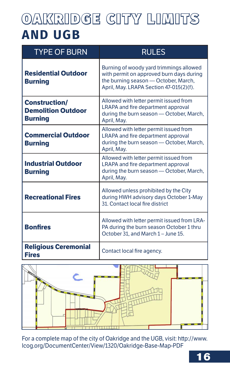#### OAKRIDGE CITY LIMITS **AND UGB**

| <b>TYPE OF BURN</b>                                                 | <b>RULES</b>                                                                                                                                                           |
|---------------------------------------------------------------------|------------------------------------------------------------------------------------------------------------------------------------------------------------------------|
| <b>Residential Outdoor</b><br><b>Burning</b>                        | Burning of woody yard trimmings allowed<br>with permit on approved burn days during<br>the burning season - October, March,<br>April, May. LRAPA Section 47-015(2)(f). |
| <b>Construction/</b><br><b>Demolition Outdoor</b><br><b>Burning</b> | Allowed with letter permit issued from<br>LRAPA and fire department approval<br>during the burn season - October, March,<br>April, May.                                |
| <b>Commercial Outdoor</b><br><b>Burning</b>                         | Allowed with letter permit issued from<br>LRAPA and fire department approval<br>during the burn season - October, March,<br>April, May.                                |
| <b>Industrial Outdoor</b><br><b>Burning</b>                         | Allowed with letter permit issued from<br>LRAPA and fire department approval<br>during the burn season - October, March,<br>April, May.                                |
| <b>Recreational Fires</b>                                           | Allowed unless prohibited by the City<br>during HWH advisory days October 1-May<br>31. Contact local fire district                                                     |
| <b>Bonfires</b>                                                     | Allowed with letter permit issued from LRA-<br>PA during the burn season October 1 thru<br>October 31, and March 1 - June 15.                                          |
| <b>Religious Ceremonial</b><br><b>Fires</b>                         | Contact local fire agency.                                                                                                                                             |



For a complete map of the city of Oakridge and the UGB, visit: http://www. lcog.org/DocumentCenter/View/1320/Oakridge-Base-Map-PDF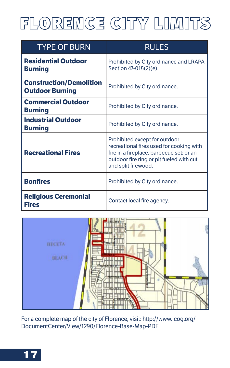#### FLORENCE CITY LIMITS

| <b>TYPE OF BURN</b>                                      | <b>RULES</b>                                                                                                                                                                             |
|----------------------------------------------------------|------------------------------------------------------------------------------------------------------------------------------------------------------------------------------------------|
| <b>Residential Outdoor</b><br><b>Burning</b>             | Prohibited by City ordinance and LRAPA<br>Section 47-015(2)(e).                                                                                                                          |
| <b>Construction/Demolition</b><br><b>Outdoor Burning</b> | Prohibited by City ordinance.                                                                                                                                                            |
| <b>Commercial Outdoor</b><br><b>Burning</b>              | Prohibited by City ordinance.                                                                                                                                                            |
| <b>Industrial Outdoor</b><br><b>Burning</b>              | Prohibited by City ordinance.                                                                                                                                                            |
| <b>Recreational Fires</b>                                | Prohibited except for outdoor<br>recreational fires used for cooking with<br>fire in a fireplace, barbecue set; or an<br>outdoor fire ring or pit fueled with cut<br>and split firewood. |
| <b>Bonfires</b>                                          | Prohibited by City ordinance.                                                                                                                                                            |
| <b>Religious Ceremonial</b><br><b>Fires</b>              | Contact local fire agency.                                                                                                                                                               |



For a complete map of the city of Florence, visit: http://www.lcog.org/ DocumentCenter/View/1290/Florence-Base-Map-PDF

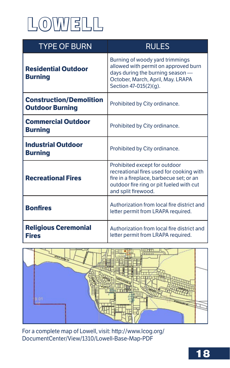

| <b>TYPE OF BURN</b>                                      | <b>RULES</b>                                                                                                                                                                             |
|----------------------------------------------------------|------------------------------------------------------------------------------------------------------------------------------------------------------------------------------------------|
| <b>Residential Outdoor</b><br><b>Burning</b>             | Burning of woody yard trimmings<br>allowed with permit on approved burn<br>days during the burning season -<br>October, March, April, May. LRAPA<br>Section 47-015(2)(g).                |
| <b>Construction/Demolition</b><br><b>Outdoor Burning</b> | Prohibited by City ordinance.                                                                                                                                                            |
| <b>Commercial Outdoor</b><br><b>Burning</b>              | Prohibited by City ordinance.                                                                                                                                                            |
| <b>Industrial Outdoor</b><br><b>Burning</b>              | Prohibited by City ordinance.                                                                                                                                                            |
| <b>Recreational Fires</b>                                | Prohibited except for outdoor<br>recreational fires used for cooking with<br>fire in a fireplace, barbecue set; or an<br>outdoor fire ring or pit fueled with cut<br>and split firewood. |
| <b>Bonfires</b>                                          | Authorization from local fire district and<br>letter permit from LRAPA required.                                                                                                         |
| <b>Religious Ceremonial</b><br><b>Fires</b>              | Authorization from local fire district and<br>letter permit from LRAPA required.                                                                                                         |



For a complete map of Lowell, visit: http://www.lcog.org/ DocumentCenter/View/1310/Lowell-Base-Map-PDF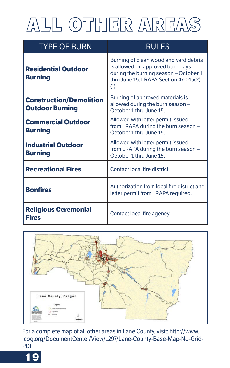### ALL OTHER AREAS

| <b>TYPE OF BURN</b>                                      | <b>RULES</b>                                                                                                                                                           |
|----------------------------------------------------------|------------------------------------------------------------------------------------------------------------------------------------------------------------------------|
| <b>Residential Outdoor</b><br><b>Burning</b>             | Burning of clean wood and yard debris<br>is allowed on approved burn days<br>during the burning season - October 1<br>thru June 15. LRAPA Section 47-015(2)<br>$(i)$ . |
| <b>Construction/Demolition</b><br><b>Outdoor Burning</b> | Burning of approved materials is<br>allowed during the burn season -<br>October 1 thru June 15.                                                                        |
| <b>Commercial Outdoor</b><br><b>Burning</b>              | Allowed with letter permit issued<br>from LRAPA during the burn season -<br>October 1 thru June 15.                                                                    |
| <b>Industrial Outdoor</b><br><b>Burning</b>              | Allowed with letter permit issued<br>from LRAPA during the burn season -<br>October 1 thru June 15.                                                                    |
| <b>Recreational Fires</b>                                | Contact local fire district.                                                                                                                                           |
| <b>Bonfires</b>                                          | Authorization from local fire district and<br>letter permit from LRAPA required.                                                                                       |
| <b>Religious Ceremonial</b><br><b>Fires</b>              | Contact local fire agency.                                                                                                                                             |



For a complete map of all other areas in Lane County, visit: http://www. lcog.org/DocumentCenter/View/1297/Lane-County-Base-Map-No-Grid-PDF

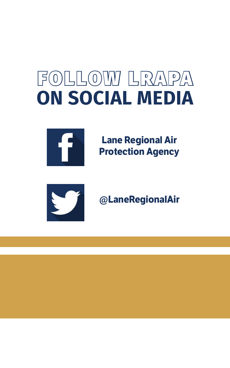### FOLLOW LRAPA **ON SOCIAL MEDIA**



**Lane Regional Air Protection Agency**



#### **@LaneRegionalAir**